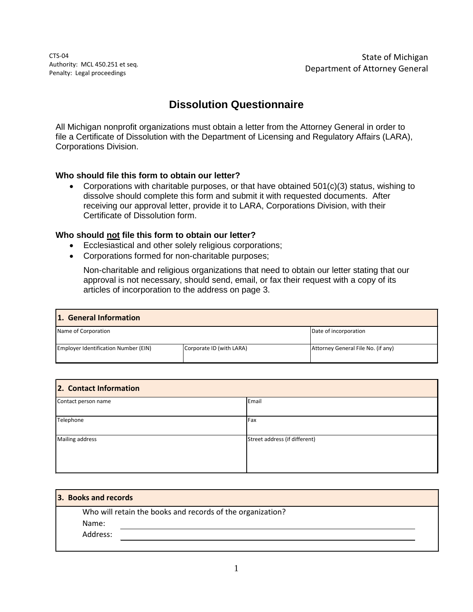CTS-04 Authority: MCL 450.251 et seq. Penalty: Legal proceedings

State of Michigan Department of Attorney General

# **Dissolution Questionnaire**

All Michigan nonprofit organizations must obtain a letter from the Attorney General in order to file a Certificate of Dissolution with the Department of Licensing and Regulatory Affairs (LARA), Corporations Division.

## **Who should file this form to obtain our letter?**

• Corporations with charitable purposes, or that have obtained  $501(c)(3)$  status, wishing to dissolve should complete this form and submit it with requested documents. After receiving our approval letter, provide it to LARA, Corporations Division, with their Certificate of Dissolution form.

## **Who should not file this form to obtain our letter?**

- Ecclesiastical and other solely religious corporations;
- Corporations formed for non-charitable purposes;

Non-charitable and religious organizations that need to obtain our letter stating that our approval is not necessary, should send, email, or fax their request with a copy of its articles of incorporation to the address on page 3.

| 1. General Information               |                          |                                    |  |  |
|--------------------------------------|--------------------------|------------------------------------|--|--|
| Name of Corporation                  |                          | Date of incorporation              |  |  |
| Employer Identification Number (EIN) | Corporate ID (with LARA) | Attorney General File No. (if any) |  |  |

| 2. Contact Information |                               |  |  |  |
|------------------------|-------------------------------|--|--|--|
| Contact person name    | Email                         |  |  |  |
| Telephone              | Fax                           |  |  |  |
| Mailing address        | Street address (if different) |  |  |  |

| 3. Books and records |                                                            |
|----------------------|------------------------------------------------------------|
|                      | Who will retain the books and records of the organization? |
| Name:                |                                                            |
| Address:             |                                                            |
|                      |                                                            |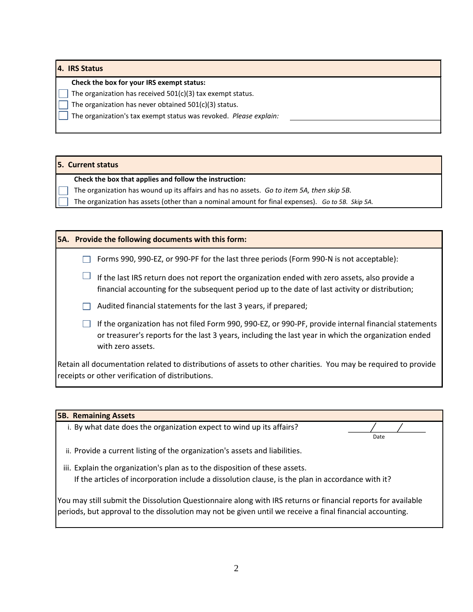#### **4. IRS Status**

#### **Check the box for your IRS exempt status:**

The organization has received 501(c)(3) tax exempt status.

The organization has never obtained  $501(c)(3)$  status.

The organization's tax exempt status was revoked. *Please explain:* 

#### **5. Current status**

#### **Check the box that applies and follow the instruction:**

- The organization has wound up its affairs and has no assets. *Go to item 5A, then skip 5B.*
- The organization has assets (other than a nominal amount for final expenses). *Go to 5B. Skip 5A.*

|  | <b>5A.</b> Provide the following documents with this form:                                                                                                                                                                        |
|--|-----------------------------------------------------------------------------------------------------------------------------------------------------------------------------------------------------------------------------------|
|  | Forms 990, 990-EZ, or 990-PF for the last three periods (Form 990-N is not acceptable):                                                                                                                                           |
|  | If the last IRS return does not report the organization ended with zero assets, also provide a<br>financial accounting for the subsequent period up to the date of last activity or distribution;                                 |
|  | Audited financial statements for the last 3 years, if prepared;                                                                                                                                                                   |
|  | If the organization has not filed Form 990, 990-EZ, or 990-PF, provide internal financial statements<br>or treasurer's reports for the last 3 years, including the last year in which the organization ended<br>with zero assets. |
|  | Retain all documentation related to distributions of assets to other charities. You may be required to provide<br>receipts or other verification of distributions.                                                                |

# i. By what date does the organization expect to wind up its affairs? ii. Provide a current listing of the organization's assets and liabilities. iii. Explain the organization's plan as to the disposition of these assets. If the articles of incorporation include a dissolution clause, is the plan in accordance with it? **5B. Remaining Assets** Date

You may still submit the Dissolution Questionnaire along with IRS returns or financial reports for available periods, but approval to the dissolution may not be given until we receive a final financial accounting.